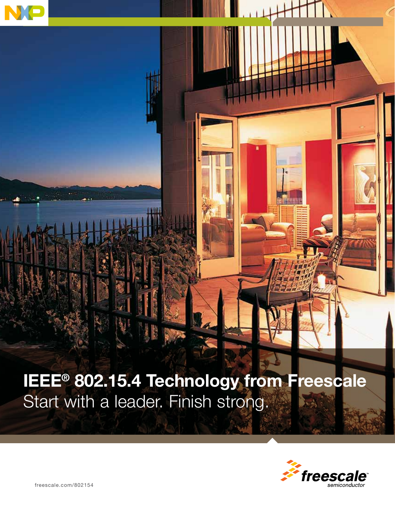

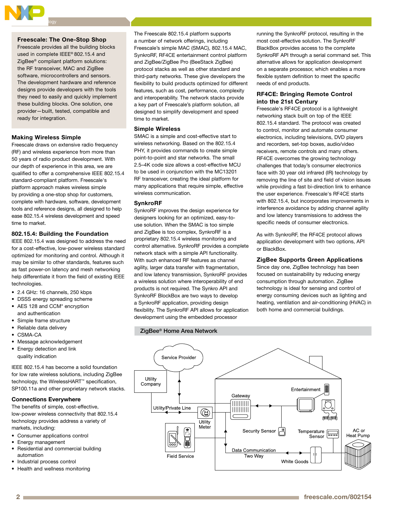

# Freescale: The One-Stop Shop

Freescale provides all the building blocks used in complete IEEE® 802.15.4 and ZigBee® compliant platform solutions: the RF transceiver, MAC and ZigBee software, microcontrollers and sensors. The development hardware and reference designs provide developers with the tools they need to easily and quickly implement these building blocks. One solution, one provider—built, tested, compatible and ready for integration.

## Making Wireless Simple

Freescale draws on extensive radio frequency (RF) and wireless experience from more than 50 years of radio product development. With our depth of experience in this area, we are qualified to offer a comprehensive IEEE 802.15.4 standard-compliant platform. Freescale's platform approach makes wireless simple by providing a one-stop shop for customers, complete with hardware, software, development tools and reference designs, all designed to help ease 802.15.4 wireless development and speed time to market.

### 802.15.4: Building the Foundation

IEEE 802.15.4 was designed to address the need for a cost-effective, low-power wireless standard optimized for monitoring and control. Although it may be similar to other standards, features such as fast power-on latency and mesh networking help differentiate it from the field of existing IEEE technologies.

- • 2.4 GHz: 16 channels, 250 kbps
- DSSS energy spreading scheme • AES 128 and CCM<sup>\*</sup> encryption and authentication
- • Simple frame structure
- Reliable data delivery
- CSMA-CA
- Message acknowledgement
- Energy detection and link quality indication

IEEE 802.15.4 has become a solid foundation for low rate wireless solutions, including ZigBee technology, the WirelessHART™ specification, SP100.11a and other proprietary network stacks.

## Connections Everywhere

The benefits of simple, cost-effective, low-power wireless connectivity that 802.15.4 technology provides address a variety of markets, including:

- • Consumer applications control
- Energy management
- Residential and commercial building automation
- • Industrial process control
- Health and wellness monitoring

The Freescale 802.15.4 platform supports a number of network offerings, including Freescale's simple MAC (SMAC), 802.15.4 MAC, SynkroRF, RF4CE entertainment control platform and ZigBee/ZigBee Pro (BeeStack ZigBee) protocol stacks as well as other standard and third-party networks. These give developers the flexibility to build products optimized for different features, such as cost, performance, complexity and interoperability. The network stacks provide a key part of Freescale's platform solution, all designed to simplify development and speed time to market.

## Simple Wireless

SMAC is a simple and cost-effective start to wireless networking. Based on the 802.15.4 PHY, it provides commands to create simple point-to-point and star networks. The small 2.5–4K code size allows a cost-effective MCU to be used in conjunction with the MC13201 RF transceiver, creating the ideal platform for many applications that require simple, effective wireless communication.

# SynkroRF

SynkroRF improves the design experience for designers looking for an optimized, easy-touse solution. When the SMAC is too simple and ZigBee is too complex, SynkroRF is a proprietary 802.15.4 wireless monitoring and control alternative. SynkroRF provides a complete network stack with a simple API functionality. With such enhanced RF features as channel agility, larger data transfer with fragmentation, and low latency transmission, SynkroRF provides a wireless solution where interoperability of end products is not required. The Synkro API and SynkroRF BlockBox are two ways to develop a SynkroRF application, providing design flexibility. The SynkroRF API allows for application development using the embedded processor

running the SynkroRF protocol, resulting in the most cost-effective solution. The SynkroRF BlackBox provides access to the complete SynkroRF API through a serial command set. This alternative allows for application development on a separate processor, which enables a more flexible system definition to meet the specific needs of end products.

# RF4CE: Bringing Remote Control into the 21st Century

Freescale's RF4CE protocol is a lightweight networking stack built on top of the IEEE 802.15.4 standard. The protocol was created to control, monitor and automate consumer electronics, including televisions, DVD players and recorders, set-top boxes, audio/video receivers, remote controls and many others. RF4CE overcomes the growing technology challenges that today's consumer electronics face with 30 year old infrared (IR) technology by removing the line of site and field of vision issues while providing a fast bi-direction link to enhance the user experience. Freescale's RF4CE starts with 802.15.4, but incorporates improvements in interference avoidance by adding channel agility and low latency transmissions to address the specific needs of consumer electronics.

As with SynkroRF, the RF4CE protocol allows application development with two options, API or BlackBox.

# ZigBee Supports Green Applications

Since day one, ZigBee technology has been focused on sustainability by reducing energy consumption through automation. ZigBee technology is ideal for sensing and control of energy consuming devices such as lighting and heating, ventilation and air-conditioning (HVAC) in both home and commercial buildings.

# ZigBee® Home Area Network

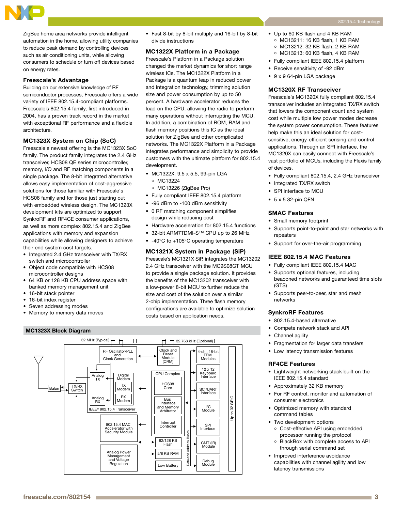

#### Freescale's Advantage

Building on our extensive knowledge of RF semiconductor processes, Freescale offers a wide variety of IEEE 802.15.4-compliant platforms. Freescale's 802.15.4 family, first introduced in 2004, has a proven track record in the market with exceptional RF performance and a flexible architecture.

#### MC1323X System on Chip (SoC)

Freescale's newest offering is the MC1323X SoC family. The product family integrates the 2.4 GHz transceiver, HCS08 QE series microcontroller, memory, I/O and RF matching components in a single package. The 8-bit integrated alternative allows easy implementation of cost-aggressive solutions for those familiar with Freescale's HCS08 family and for those just starting out with embedded wireless design. The MC1323X development kits are optimized to support SynkroRF and RF4CE consumer applications, as well as more complex 802.15.4 and ZigBee applications with memory and expansion capabilities while allowing designers to achieve their end system cost targets.

- Integrated 2.4 GHz transceiver with TX/RX switch and microcontroller
- • Object code compatible with HCS08 microcontroller designs
- 64 KB or 128 KB CPU address space with banked memory management unit
- 16-bit stack pointer
- 16-bit index register
- Seven addressing modes
- Memory to memory data moves

#### MC1323X Block Diagram

• Fast 8-bit by 8-bit multiply and 16-bit by 8-bit divide instructions

## MC1322X Platform in a Package

Freescale's Platform in a Package solution changed the market dynamics for short range wireless ICs. The MC1322X Platform in a Package is a quantum leap in reduced power and integration technology, trimming solution size and power consumption by up to 50 percent. A hardware accelerator reduces the load on the CPU, allowing the radio to perform many operations without interrupting the MCU. In addition, a combination of ROM, RAM and flash memory positions this IC as the ideal solution for ZigBee and other complicated networks. The MC1322X Platform in a Package integrates performance and simplicity to provide customers with the ultimate platform for 802.15.4 development.

- • MC1322X: 9.5 x 5.5, 99-pin LGA
	- MC13224
- MC13226 (ZigBee Pro)
- Fully compliant IEEE 802.15.4 platform
- • -96 dBm to -100 dBm sensitivity
- 0 RF matching component simplifies design while reducing cost
- • Hardware acceleration for 802.15.4 functions
- • 32-bit ARM7TDMI-S™ CPU up to 26 MHz
- -40°C to +105°C operating temperature

#### MC1321X System in Package (SiP)

Freescale's MC1321X SiP, integrates the MC13202 2.4 GHz transceiver with the MC9S08GT MCU to provide a single package solution. It provides the benefits of the MC13202 transceiver with a low-power 8-bit MCU to further reduce the size and cost of the solution over a similar 2-chip implementation. Three flash memory configurations are available to optimize solution costs based on application needs.



- • Up to 60 KB flash and 4 KB RAM MC13211: 16 KB flash, 1 KB RAM
	- MC13212: 32 KB flash, 2 KB RAM
	- MC13213: 60 KB flash, 4 KB RAM
- • Fully compliant IEEE 802.15.4 platform
- Receive sensitivity of -92 dBm
- • 9 x 9 64-pin LGA package

### MC1320X RF Transceiver

Freescale's MC1320X fully compliant 802.15.4 transceiver includes an integrated TX/RX switch that lowers the component count and system cost while multiple low power modes decrease the system power consumption. These features help make this an ideal solution for costsensitive, energy-efficient sensing and control applications. Through an SPI interface, the MC1320X can easily connect with Freescale's vast portfolio of MCUs, including the Flexis family of devices.

- • Fully compliant 802.15.4, 2.4 GHz transceiver
- Integrated TX/RX switch
- SPI interface to MCU
- $5 x 5 32$ -pin QFN

#### SMAC Features

- Small memory footprint
- Supports point-to-point and star networks with repeaters
- Support for over-the-air programming

#### IEEE 802.15.4 MAC Features

- Fully compliant IEEE 802.15.4 MAC
- Supports optional features, including beaconed networks and guaranteed time slots (GTS)
- Supports peer-to-peer, star and mesh networks

# SynkroRF Features

- • 802.15.4-based alternative
- • Compete network stack and API
- Channel agility
- • Fragmentation for larger data transfers
- • Low latency transmission features

#### RF4CE Features

- • Lightweight networking stack built on the IEEE 802.15.4 standard
- • Approximately 32 KB memory
- For RF control, monitor and automation of consumer electronics
- • Optimized memory with standard command tables
- Two development options
	- Cost-effective API using embedded processor running the protocol
	- BlackBox with complete access to API through serial command set
- Improved interference avoidance capabilities with channel agility and low latency transmissions